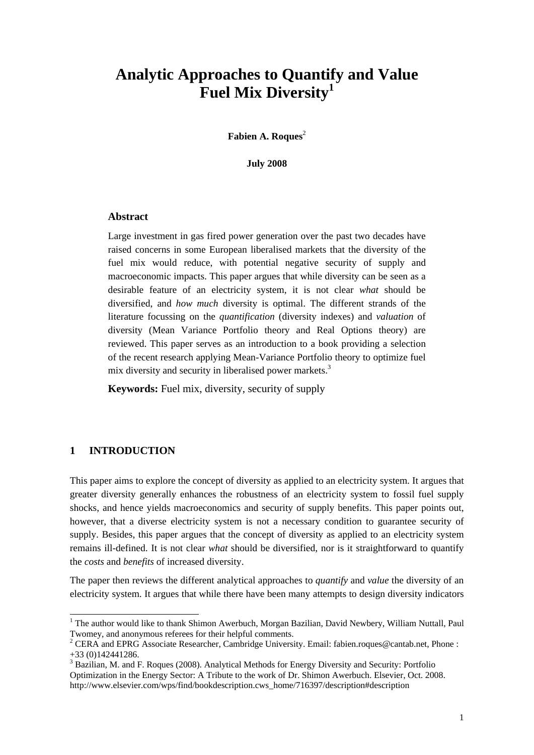# **Analytic Approaches to Quantify and Value Fuel Mix Diversity1**

Fabien A. Roques<sup>2</sup>

**July 2008** 

## **Abstract**

Large investment in gas fired power generation over the past two decades have raised concerns in some European liberalised markets that the diversity of the fuel mix would reduce, with potential negative security of supply and macroeconomic impacts. This paper argues that while diversity can be seen as a desirable feature of an electricity system, it is not clear *what* should be diversified, and *how much* diversity is optimal. The different strands of the literature focussing on the *quantification* (diversity indexes) and *valuation* of diversity (Mean Variance Portfolio theory and Real Options theory) are reviewed. This paper serves as an introduction to a book providing a selection of the recent research applying Mean-Variance Portfolio theory to optimize fuel mix diversity and security in liberalised power markets.<sup>3</sup>

**Keywords:** Fuel mix, diversity, security of supply

## **1 INTRODUCTION**

-

This paper aims to explore the concept of diversity as applied to an electricity system. It argues that greater diversity generally enhances the robustness of an electricity system to fossil fuel supply shocks, and hence yields macroeconomics and security of supply benefits. This paper points out, however, that a diverse electricity system is not a necessary condition to guarantee security of supply. Besides, this paper argues that the concept of diversity as applied to an electricity system remains ill-defined. It is not clear *what* should be diversified, nor is it straightforward to quantify the *costs* and *benefits* of increased diversity.

The paper then reviews the different analytical approaches to *quantify* and *value* the diversity of an electricity system. It argues that while there have been many attempts to design diversity indicators

<sup>&</sup>lt;sup>1</sup> The author would like to thank Shimon Awerbuch, Morgan Bazilian, David Newbery, William Nuttall, Paul Twomey, and anonymous referees for their helpful comments.

<sup>&</sup>lt;sup>2</sup> CERA and EPRG Associate Researcher, Cambridge University. Email: fabien.roques@cantab.net, Phone : +33 (0)142441286.

<sup>&</sup>lt;sup>3</sup> Bazilian, M. and F. Roques (2008). Analytical Methods for Energy Diversity and Security: Portfolio Optimization in the Energy Sector: A Tribute to the work of Dr. Shimon Awerbuch. Elsevier, Oct. 2008. http://www.elsevier.com/wps/find/bookdescription.cws\_home/716397/description#description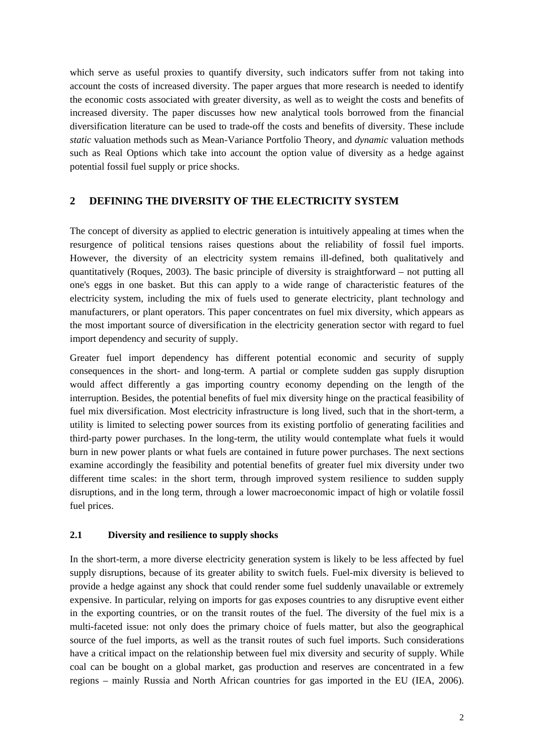which serve as useful proxies to quantify diversity, such indicators suffer from not taking into account the costs of increased diversity. The paper argues that more research is needed to identify the economic costs associated with greater diversity, as well as to weight the costs and benefits of increased diversity. The paper discusses how new analytical tools borrowed from the financial diversification literature can be used to trade-off the costs and benefits of diversity. These include *static* valuation methods such as Mean-Variance Portfolio Theory, and *dynamic* valuation methods such as Real Options which take into account the option value of diversity as a hedge against potential fossil fuel supply or price shocks.

# **2 DEFINING THE DIVERSITY OF THE ELECTRICITY SYSTEM**

The concept of diversity as applied to electric generation is intuitively appealing at times when the resurgence of political tensions raises questions about the reliability of fossil fuel imports. However, the diversity of an electricity system remains ill-defined, both qualitatively and quantitatively (Roques, 2003). The basic principle of diversity is straightforward – not putting all one's eggs in one basket. But this can apply to a wide range of characteristic features of the electricity system, including the mix of fuels used to generate electricity, plant technology and manufacturers, or plant operators. This paper concentrates on fuel mix diversity, which appears as the most important source of diversification in the electricity generation sector with regard to fuel import dependency and security of supply.

Greater fuel import dependency has different potential economic and security of supply consequences in the short- and long-term. A partial or complete sudden gas supply disruption would affect differently a gas importing country economy depending on the length of the interruption. Besides, the potential benefits of fuel mix diversity hinge on the practical feasibility of fuel mix diversification. Most electricity infrastructure is long lived, such that in the short-term, a utility is limited to selecting power sources from its existing portfolio of generating facilities and third-party power purchases. In the long-term, the utility would contemplate what fuels it would burn in new power plants or what fuels are contained in future power purchases. The next sections examine accordingly the feasibility and potential benefits of greater fuel mix diversity under two different time scales: in the short term, through improved system resilience to sudden supply disruptions, and in the long term, through a lower macroeconomic impact of high or volatile fossil fuel prices.

## **2.1 Diversity and resilience to supply shocks**

In the short-term, a more diverse electricity generation system is likely to be less affected by fuel supply disruptions, because of its greater ability to switch fuels. Fuel-mix diversity is believed to provide a hedge against any shock that could render some fuel suddenly unavailable or extremely expensive. In particular, relying on imports for gas exposes countries to any disruptive event either in the exporting countries, or on the transit routes of the fuel. The diversity of the fuel mix is a multi-faceted issue: not only does the primary choice of fuels matter, but also the geographical source of the fuel imports, as well as the transit routes of such fuel imports. Such considerations have a critical impact on the relationship between fuel mix diversity and security of supply. While coal can be bought on a global market, gas production and reserves are concentrated in a few regions – mainly Russia and North African countries for gas imported in the EU (IEA, 2006).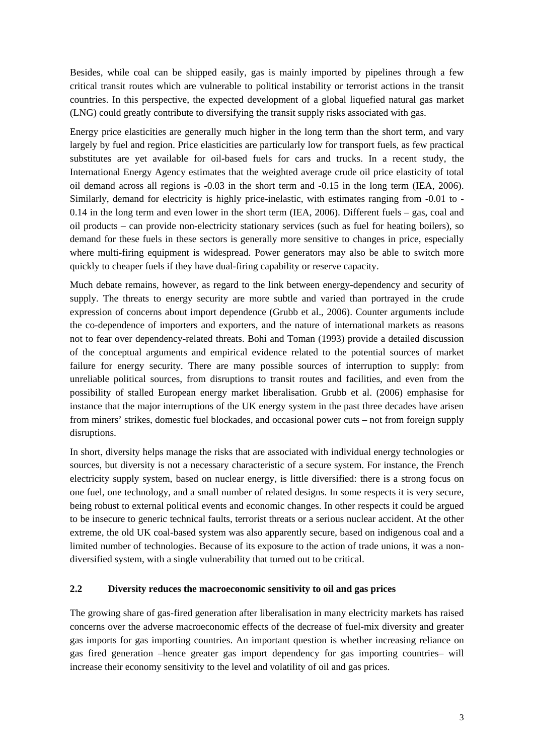Besides, while coal can be shipped easily, gas is mainly imported by pipelines through a few critical transit routes which are vulnerable to political instability or terrorist actions in the transit countries. In this perspective, the expected development of a global liquefied natural gas market (LNG) could greatly contribute to diversifying the transit supply risks associated with gas.

Energy price elasticities are generally much higher in the long term than the short term, and vary largely by fuel and region. Price elasticities are particularly low for transport fuels, as few practical substitutes are yet available for oil-based fuels for cars and trucks. In a recent study, the International Energy Agency estimates that the weighted average crude oil price elasticity of total oil demand across all regions is -0.03 in the short term and -0.15 in the long term (IEA, 2006). Similarly, demand for electricity is highly price-inelastic, with estimates ranging from -0.01 to - 0.14 in the long term and even lower in the short term (IEA, 2006). Different fuels – gas, coal and oil products – can provide non-electricity stationary services (such as fuel for heating boilers), so demand for these fuels in these sectors is generally more sensitive to changes in price, especially where multi-firing equipment is widespread. Power generators may also be able to switch more quickly to cheaper fuels if they have dual-firing capability or reserve capacity.

Much debate remains, however, as regard to the link between energy-dependency and security of supply. The threats to energy security are more subtle and varied than portrayed in the crude expression of concerns about import dependence (Grubb et al., 2006). Counter arguments include the co-dependence of importers and exporters, and the nature of international markets as reasons not to fear over dependency-related threats. Bohi and Toman (1993) provide a detailed discussion of the conceptual arguments and empirical evidence related to the potential sources of market failure for energy security. There are many possible sources of interruption to supply: from unreliable political sources, from disruptions to transit routes and facilities, and even from the possibility of stalled European energy market liberalisation. Grubb et al. (2006) emphasise for instance that the major interruptions of the UK energy system in the past three decades have arisen from miners' strikes, domestic fuel blockades, and occasional power cuts – not from foreign supply disruptions.

In short, diversity helps manage the risks that are associated with individual energy technologies or sources, but diversity is not a necessary characteristic of a secure system. For instance, the French electricity supply system, based on nuclear energy, is little diversified: there is a strong focus on one fuel, one technology, and a small number of related designs. In some respects it is very secure, being robust to external political events and economic changes. In other respects it could be argued to be insecure to generic technical faults, terrorist threats or a serious nuclear accident. At the other extreme, the old UK coal-based system was also apparently secure, based on indigenous coal and a limited number of technologies. Because of its exposure to the action of trade unions, it was a nondiversified system, with a single vulnerability that turned out to be critical.

## **2.2 Diversity reduces the macroeconomic sensitivity to oil and gas prices**

The growing share of gas-fired generation after liberalisation in many electricity markets has raised concerns over the adverse macroeconomic effects of the decrease of fuel-mix diversity and greater gas imports for gas importing countries. An important question is whether increasing reliance on gas fired generation –hence greater gas import dependency for gas importing countries– will increase their economy sensitivity to the level and volatility of oil and gas prices.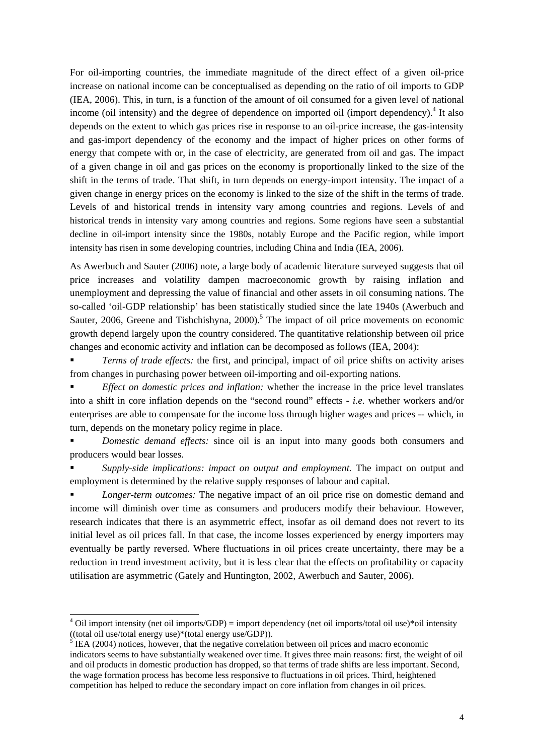For oil-importing countries, the immediate magnitude of the direct effect of a given oil-price increase on national income can be conceptualised as depending on the ratio of oil imports to GDP (IEA, 2006). This, in turn, is a function of the amount of oil consumed for a given level of national income (oil intensity) and the degree of dependence on imported oil (import dependency).<sup>4</sup> It also depends on the extent to which gas prices rise in response to an oil-price increase, the gas-intensity and gas-import dependency of the economy and the impact of higher prices on other forms of energy that compete with or, in the case of electricity, are generated from oil and gas. The impact of a given change in oil and gas prices on the economy is proportionally linked to the size of the shift in the terms of trade. That shift, in turn depends on energy-import intensity. The impact of a given change in energy prices on the economy is linked to the size of the shift in the terms of trade. Levels of and historical trends in intensity vary among countries and regions. Levels of and historical trends in intensity vary among countries and regions. Some regions have seen a substantial decline in oil-import intensity since the 1980s, notably Europe and the Pacific region, while import intensity has risen in some developing countries, including China and India (IEA, 2006).

As Awerbuch and Sauter (2006) note, a large body of academic literature surveyed suggests that oil price increases and volatility dampen macroeconomic growth by raising inflation and unemployment and depressing the value of financial and other assets in oil consuming nations. The so-called 'oil-GDP relationship' has been statistically studied since the late 1940s (Awerbuch and Sauter, 2006, Greene and Tishchishyna,  $2000$ .<sup>5</sup> The impact of oil price movements on economic growth depend largely upon the country considered. The quantitative relationship between oil price changes and economic activity and inflation can be decomposed as follows (IEA, 2004):

 *Terms of trade effects:* the first, and principal, impact of oil price shifts on activity arises from changes in purchasing power between oil-importing and oil-exporting nations.

 *Effect on domestic prices and inflation:* whether the increase in the price level translates into a shift in core inflation depends on the "second round" effects - *i.e.* whether workers and/or enterprises are able to compensate for the income loss through higher wages and prices -- which, in turn, depends on the monetary policy regime in place.

 *Domestic demand effects:* since oil is an input into many goods both consumers and producers would bear losses.

 *Supply-side implications: impact on output and employment.* The impact on output and employment is determined by the relative supply responses of labour and capital.

 *Longer-term outcomes:* The negative impact of an oil price rise on domestic demand and income will diminish over time as consumers and producers modify their behaviour. However, research indicates that there is an asymmetric effect, insofar as oil demand does not revert to its initial level as oil prices fall. In that case, the income losses experienced by energy importers may eventually be partly reversed. Where fluctuations in oil prices create uncertainty, there may be a reduction in trend investment activity, but it is less clear that the effects on profitability or capacity utilisation are asymmetric (Gately and Huntington, 2002, Awerbuch and Sauter, 2006).

<sup>&</sup>lt;sup>4</sup> Oil import intensity (net oil imports/GDP) = import dependency (net oil imports/total oil use)\*oil intensity ((total oil use/total energy use)\*(total energy use/GDP)).

<sup>&</sup>lt;sup>5</sup> IEA (2004) notices, however, that the negative correlation between oil prices and macro economic indicators seems to have substantially weakened over time. It gives three main reasons: first, the weight of oil and oil products in domestic production has dropped, so that terms of trade shifts are less important. Second, the wage formation process has become less responsive to fluctuations in oil prices. Third, heightened competition has helped to reduce the secondary impact on core inflation from changes in oil prices.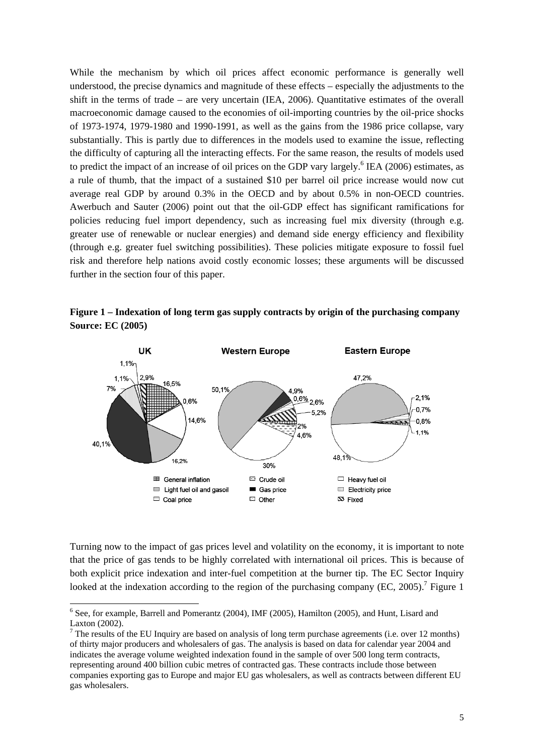While the mechanism by which oil prices affect economic performance is generally well understood, the precise dynamics and magnitude of these effects – especially the adjustments to the shift in the terms of trade – are very uncertain (IEA, 2006). Quantitative estimates of the overall macroeconomic damage caused to the economies of oil-importing countries by the oil-price shocks of 1973-1974, 1979-1980 and 1990-1991, as well as the gains from the 1986 price collapse, vary substantially. This is partly due to differences in the models used to examine the issue, reflecting the difficulty of capturing all the interacting effects. For the same reason, the results of models used to predict the impact of an increase of oil prices on the GDP vary largely.<sup>6</sup> IEA (2006) estimates, as a rule of thumb, that the impact of a sustained \$10 per barrel oil price increase would now cut average real GDP by around 0.3% in the OECD and by about 0.5% in non-OECD countries. Awerbuch and Sauter (2006) point out that the oil-GDP effect has significant ramifications for policies reducing fuel import dependency, such as increasing fuel mix diversity (through e.g. greater use of renewable or nuclear energies) and demand side energy efficiency and flexibility (through e.g. greater fuel switching possibilities). These policies mitigate exposure to fossil fuel risk and therefore help nations avoid costly economic losses; these arguments will be discussed further in the section four of this paper.

**Figure 1 – Indexation of long term gas supply contracts by origin of the purchasing company Source: EC (2005)** 



Turning now to the impact of gas prices level and volatility on the economy, it is important to note that the price of gas tends to be highly correlated with international oil prices. This is because of both explicit price indexation and inter-fuel competition at the burner tip. The EC Sector Inquiry looked at the indexation according to the region of the purchasing company  $(EC, 2005)$ .<sup>7</sup> Figure 1

<sup>&</sup>lt;sup>6</sup> See, for example, Barrell and Pomerantz (2004), IMF (2005), Hamilton (2005), and Hunt, Lisard and Laxton (2002).

 $<sup>7</sup>$  The results of the EU Inquiry are based on analysis of long term purchase agreements (i.e. over 12 months)</sup> of thirty major producers and wholesalers of gas. The analysis is based on data for calendar year 2004 and indicates the average volume weighted indexation found in the sample of over 500 long term contracts, representing around 400 billion cubic metres of contracted gas. These contracts include those between companies exporting gas to Europe and major EU gas wholesalers, as well as contracts between different EU gas wholesalers.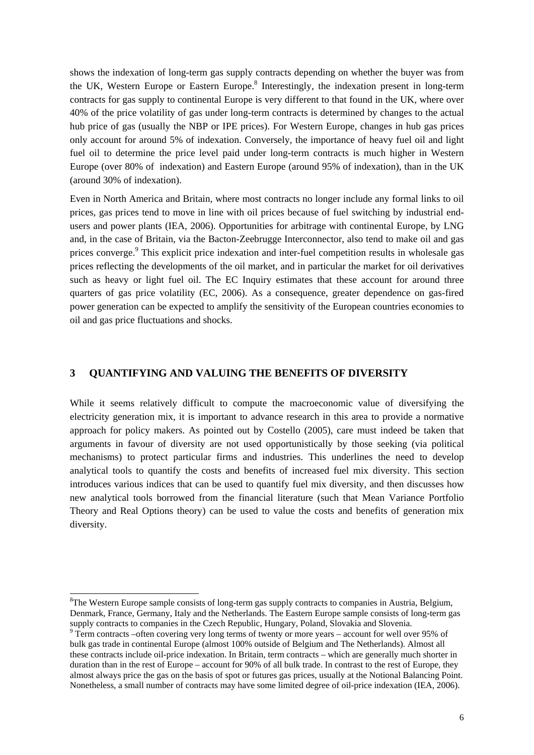shows the indexation of long-term gas supply contracts depending on whether the buyer was from the UK, Western Europe or Eastern Europe.<sup>8</sup> Interestingly, the indexation present in long-term contracts for gas supply to continental Europe is very different to that found in the UK, where over 40% of the price volatility of gas under long-term contracts is determined by changes to the actual hub price of gas (usually the NBP or IPE prices). For Western Europe, changes in hub gas prices only account for around 5% of indexation. Conversely, the importance of heavy fuel oil and light fuel oil to determine the price level paid under long-term contracts is much higher in Western Europe (over 80% of indexation) and Eastern Europe (around 95% of indexation), than in the UK (around 30% of indexation).

Even in North America and Britain, where most contracts no longer include any formal links to oil prices, gas prices tend to move in line with oil prices because of fuel switching by industrial endusers and power plants (IEA, 2006). Opportunities for arbitrage with continental Europe, by LNG and, in the case of Britain, via the Bacton-Zeebrugge Interconnector, also tend to make oil and gas prices converge.<sup>9</sup> This explicit price indexation and inter-fuel competition results in wholesale gas prices reflecting the developments of the oil market, and in particular the market for oil derivatives such as heavy or light fuel oil. The EC Inquiry estimates that these account for around three quarters of gas price volatility (EC, 2006). As a consequence, greater dependence on gas-fired power generation can be expected to amplify the sensitivity of the European countries economies to oil and gas price fluctuations and shocks.

## **3 QUANTIFYING AND VALUING THE BENEFITS OF DIVERSITY**

While it seems relatively difficult to compute the macroeconomic value of diversifying the electricity generation mix, it is important to advance research in this area to provide a normative approach for policy makers. As pointed out by Costello (2005), care must indeed be taken that arguments in favour of diversity are not used opportunistically by those seeking (via political mechanisms) to protect particular firms and industries. This underlines the need to develop analytical tools to quantify the costs and benefits of increased fuel mix diversity. This section introduces various indices that can be used to quantify fuel mix diversity, and then discusses how new analytical tools borrowed from the financial literature (such that Mean Variance Portfolio Theory and Real Options theory) can be used to value the costs and benefits of generation mix diversity.

1

<sup>&</sup>lt;sup>8</sup>The Western Europe sample consists of long-term gas supply contracts to companies in Austria, Belgium, Denmark, France, Germany, Italy and the Netherlands. The Eastern Europe sample consists of long-term gas supply contracts to companies in the Czech Republic, Hungary, Poland, Slovakia and Slovenia. 9

<sup>&</sup>lt;sup>9</sup> Term contracts –often covering very long terms of twenty or more years – account for well over 95% of bulk gas trade in continental Europe (almost 100% outside of Belgium and The Netherlands). Almost all these contracts include oil-price indexation. In Britain, term contracts – which are generally much shorter in duration than in the rest of Europe – account for 90% of all bulk trade. In contrast to the rest of Europe, they almost always price the gas on the basis of spot or futures gas prices, usually at the Notional Balancing Point. Nonetheless, a small number of contracts may have some limited degree of oil-price indexation (IEA, 2006).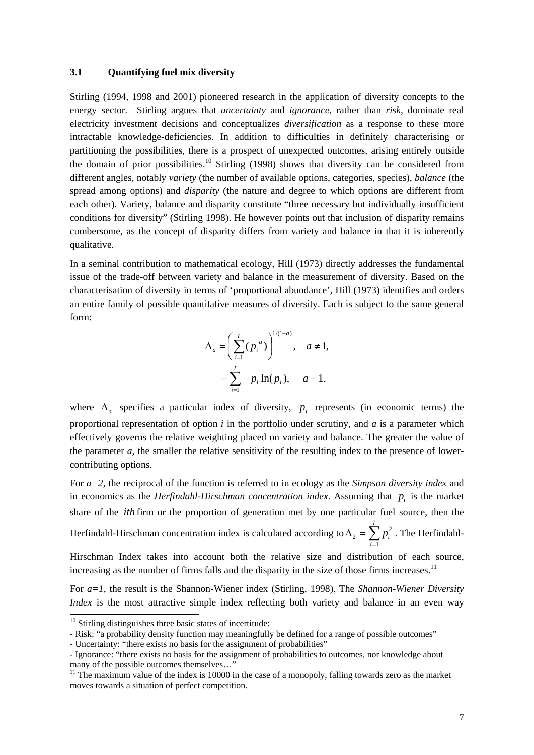#### **3.1 Quantifying fuel mix diversity**

Stirling (1994, 1998 and 2001) pioneered research in the application of diversity concepts to the energy sector. Stirling argues that *uncertainty* and *ignorance,* rather than *risk,* dominate real electricity investment decisions and conceptualizes *diversification* as a response to these more intractable knowledge-deficiencies. In addition to difficulties in definitely characterising or partitioning the possibilities, there is a prospect of unexpected outcomes, arising entirely outside the domain of prior possibilities.<sup>10</sup> Stirling (1998) shows that diversity can be considered from different angles, notably *variety* (the number of available options, categories, species), *balance* (the spread among options) and *disparity* (the nature and degree to which options are different from each other). Variety, balance and disparity constitute "three necessary but individually insufficient conditions for diversity" (Stirling 1998). He however points out that inclusion of disparity remains cumbersome, as the concept of disparity differs from variety and balance in that it is inherently qualitative.

In a seminal contribution to mathematical ecology, Hill (1973) directly addresses the fundamental issue of the trade-off between variety and balance in the measurement of diversity. Based on the characterisation of diversity in terms of 'proportional abundance', Hill (1973) identifies and orders an entire family of possible quantitative measures of diversity. Each is subject to the same general form:

$$
\Delta_a = \left(\sum_{i=1}^I (p_i^a)\right)^{1/(1-a)}, \quad a \neq 1,
$$
  
=  $\sum_{i=1}^I -p_i \ln(p_i), \quad a = 1.$ 

where  $\Delta$ <sub>*a*</sub> specifies a particular index of diversity,  $p_i$  represents (in economic terms) the proportional representation of option *i* in the portfolio under scrutiny, and *a* is a parameter which effectively governs the relative weighting placed on variety and balance. The greater the value of the parameter *a*, the smaller the relative sensitivity of the resulting index to the presence of lowercontributing options.

For *a=2*, the reciprocal of the function is referred to in ecology as the *Simpson diversity index* and in economics as the *Herfindahl-Hirschman concentration index*. Assuming that  $p_i$  is the market share of the *ith* firm or the proportion of generation met by one particular fuel source, then the Herfindahl-Hirschman concentration index is calculated according to  $\Delta_2 = \sum_{i=1}^{n}$ *I pi*  $\sum_{i=2}^{n} p_i^2$ . The Herfindahl-

Hirschman Index takes into account both the relative size and distribution of each source, increasing as the number of firms falls and the disparity in the size of those firms increases.<sup>11</sup>

*i*

1

For *a=1*, the result is the Shannon-Wiener index (Stirling, 1998). The *Shannon-Wiener Diversity Index* is the most attractive simple index reflecting both variety and balance in an even way

<sup>&</sup>lt;sup>10</sup> Stirling distinguishes three basic states of incertitude:

*<sup>-</sup>* Risk: "a probability density function may meaningfully be defined for a range of possible outcomes"

<sup>-</sup> Uncertainty: "there exists no basis for the assignment of probabilities"

<sup>-</sup> Ignorance: "there exists no basis for the assignment of probabilities to outcomes, nor knowledge about many of the possible outcomes themselves..."

 $11$  The maximum value of the index is 10000 in the case of a monopoly, falling towards zero as the market moves towards a situation of perfect competition.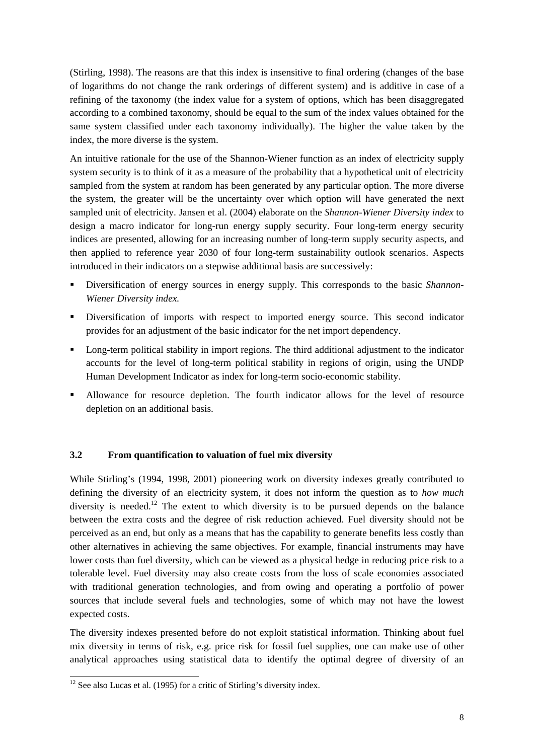(Stirling, 1998). The reasons are that this index is insensitive to final ordering (changes of the base of logarithms do not change the rank orderings of different system) and is additive in case of a refining of the taxonomy (the index value for a system of options, which has been disaggregated according to a combined taxonomy, should be equal to the sum of the index values obtained for the same system classified under each taxonomy individually). The higher the value taken by the index, the more diverse is the system.

An intuitive rationale for the use of the Shannon-Wiener function as an index of electricity supply system security is to think of it as a measure of the probability that a hypothetical unit of electricity sampled from the system at random has been generated by any particular option. The more diverse the system, the greater will be the uncertainty over which option will have generated the next sampled unit of electricity. Jansen et al. (2004) elaborate on the *Shannon-Wiener Diversity index* to design a macro indicator for long-run energy supply security. Four long-term energy security indices are presented, allowing for an increasing number of long-term supply security aspects, and then applied to reference year 2030 of four long-term sustainability outlook scenarios. Aspects introduced in their indicators on a stepwise additional basis are successively:

- Diversification of energy sources in energy supply. This corresponds to the basic *Shannon-Wiener Diversity index.*
- Diversification of imports with respect to imported energy source. This second indicator provides for an adjustment of the basic indicator for the net import dependency.
- Long-term political stability in import regions. The third additional adjustment to the indicator accounts for the level of long-term political stability in regions of origin, using the UNDP Human Development Indicator as index for long-term socio-economic stability.
- Allowance for resource depletion. The fourth indicator allows for the level of resource depletion on an additional basis.

## **3.2 From quantification to valuation of fuel mix diversity**

While Stirling's (1994, 1998, 2001) pioneering work on diversity indexes greatly contributed to defining the diversity of an electricity system, it does not inform the question as to *how much*  diversity is needed.<sup>12</sup> The extent to which diversity is to be pursued depends on the balance between the extra costs and the degree of risk reduction achieved. Fuel diversity should not be perceived as an end, but only as a means that has the capability to generate benefits less costly than other alternatives in achieving the same objectives. For example, financial instruments may have lower costs than fuel diversity, which can be viewed as a physical hedge in reducing price risk to a tolerable level. Fuel diversity may also create costs from the loss of scale economies associated with traditional generation technologies, and from owing and operating a portfolio of power sources that include several fuels and technologies, some of which may not have the lowest expected costs.

The diversity indexes presented before do not exploit statistical information. Thinking about fuel mix diversity in terms of risk, e.g. price risk for fossil fuel supplies, one can make use of other analytical approaches using statistical data to identify the optimal degree of diversity of an

<sup>-</sup> $12$  See also Lucas et al. (1995) for a critic of Stirling's diversity index.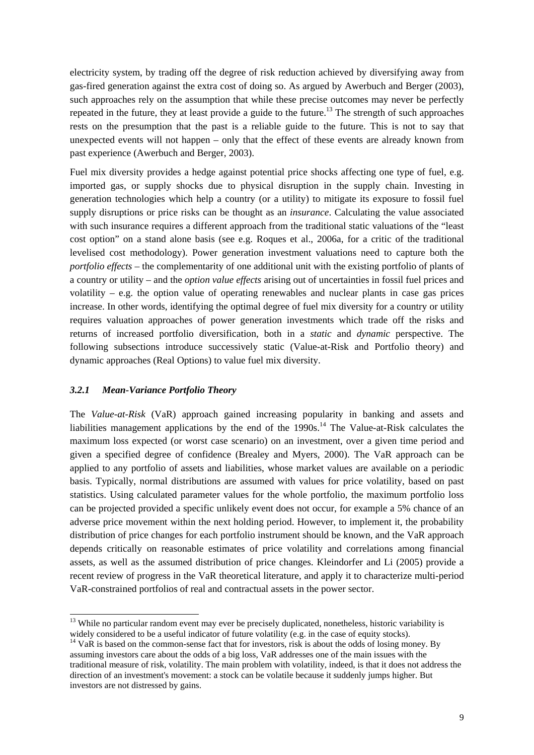electricity system, by trading off the degree of risk reduction achieved by diversifying away from gas-fired generation against the extra cost of doing so. As argued by Awerbuch and Berger (2003), such approaches rely on the assumption that while these precise outcomes may never be perfectly repeated in the future, they at least provide a guide to the future.<sup>13</sup> The strength of such approaches rests on the presumption that the past is a reliable guide to the future. This is not to say that unexpected events will not happen – only that the effect of these events are already known from past experience (Awerbuch and Berger, 2003).

Fuel mix diversity provides a hedge against potential price shocks affecting one type of fuel, e.g. imported gas, or supply shocks due to physical disruption in the supply chain. Investing in generation technologies which help a country (or a utility) to mitigate its exposure to fossil fuel supply disruptions or price risks can be thought as an *insurance*. Calculating the value associated with such insurance requires a different approach from the traditional static valuations of the "least cost option" on a stand alone basis (see e.g. Roques et al., 2006a, for a critic of the traditional levelised cost methodology). Power generation investment valuations need to capture both the *portfolio effects* – the complementarity of one additional unit with the existing portfolio of plants of a country or utility – and the *option value effects* arising out of uncertainties in fossil fuel prices and volatility – e.g. the option value of operating renewables and nuclear plants in case gas prices increase. In other words, identifying the optimal degree of fuel mix diversity for a country or utility requires valuation approaches of power generation investments which trade off the risks and returns of increased portfolio diversification, both in a *static* and *dynamic* perspective. The following subsections introduce successively static (Value-at-Risk and Portfolio theory) and dynamic approaches (Real Options) to value fuel mix diversity.

## *3.2.1 Mean-Variance Portfolio Theory*

-

The *Value-at-Risk* (VaR) approach gained increasing popularity in banking and assets and liabilities management applications by the end of the  $1990s<sup>14</sup>$ . The Value-at-Risk calculates the maximum loss expected (or worst case scenario) on an investment, over a given time period and given a specified degree of confidence (Brealey and Myers, 2000). The VaR approach can be applied to any portfolio of assets and liabilities, whose market values are available on a periodic basis. Typically, normal distributions are assumed with values for price volatility, based on past statistics. Using calculated parameter values for the whole portfolio, the maximum portfolio loss can be projected provided a specific unlikely event does not occur, for example a 5% chance of an adverse price movement within the next holding period. However, to implement it, the probability distribution of price changes for each portfolio instrument should be known, and the VaR approach depends critically on reasonable estimates of price volatility and correlations among financial assets, as well as the assumed distribution of price changes. Kleindorfer and Li (2005) provide a recent review of progress in the VaR theoretical literature, and apply it to characterize multi-period VaR-constrained portfolios of real and contractual assets in the power sector.

<sup>&</sup>lt;sup>13</sup> While no particular random event may ever be precisely duplicated, nonetheless, historic variability is widely considered to be a useful indicator of future volatility (e.g. in the case of equity stocks).

 $14$  VaR is based on the common-sense fact that for investors, risk is about the odds of losing money. By assuming investors care about the odds of a big loss, VaR addresses one of the main issues with the traditional measure of risk, volatility. The main problem with volatility, indeed, is that it does not address the direction of an investment's movement: a stock can be volatile because it suddenly jumps higher. But investors are not distressed by gains.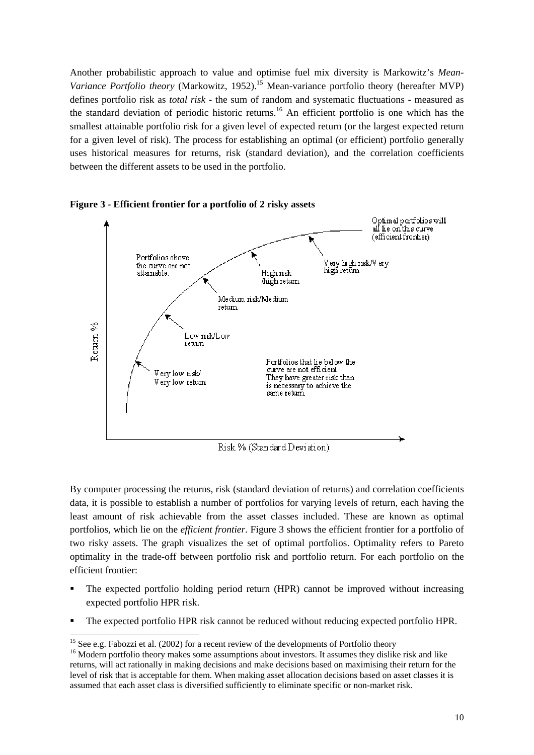Another probabilistic approach to value and optimise fuel mix diversity is Markowitz's *Mean-Variance Portfolio theory* (Markowitz, 1952).<sup>15</sup> Mean-variance portfolio theory (hereafter MVP) defines portfolio risk as *total risk -* the sum of random and systematic fluctuations - measured as the standard deviation of periodic historic returns.<sup>16</sup> An efficient portfolio is one which has the smallest attainable portfolio risk for a given level of expected return (or the largest expected return for a given level of risk). The process for establishing an optimal (or efficient) portfolio generally uses historical measures for returns, risk (standard deviation), and the correlation coefficients between the different assets to be used in the portfolio.





By computer processing the returns, risk (standard deviation of returns) and correlation coefficients data, it is possible to establish a number of portfolios for varying levels of return, each having the least amount of risk achievable from the asset classes included. These are known as optimal portfolios, which lie on the *efficient frontier*. Figure 3 shows the efficient frontier for a portfolio of two risky assets. The graph visualizes the set of optimal portfolios. Optimality refers to Pareto optimality in the trade-off between portfolio risk and portfolio return. For each portfolio on the efficient frontier:

- The expected portfolio holding period return (HPR) cannot be improved without increasing expected portfolio HPR risk.
- The expected portfolio HPR risk cannot be reduced without reducing expected portfolio HPR.

<sup>&</sup>lt;sup>15</sup> See e.g. Fabozzi et al. (2002) for a recent review of the developments of Portfolio theory

<sup>&</sup>lt;sup>16</sup> Modern portfolio theory makes some assumptions about investors. It assumes they dislike risk and like returns, will act rationally in making decisions and make decisions based on maximising their return for the level of risk that is acceptable for them. When making asset allocation decisions based on asset classes it is assumed that each asset class is diversified sufficiently to eliminate specific or non-market risk.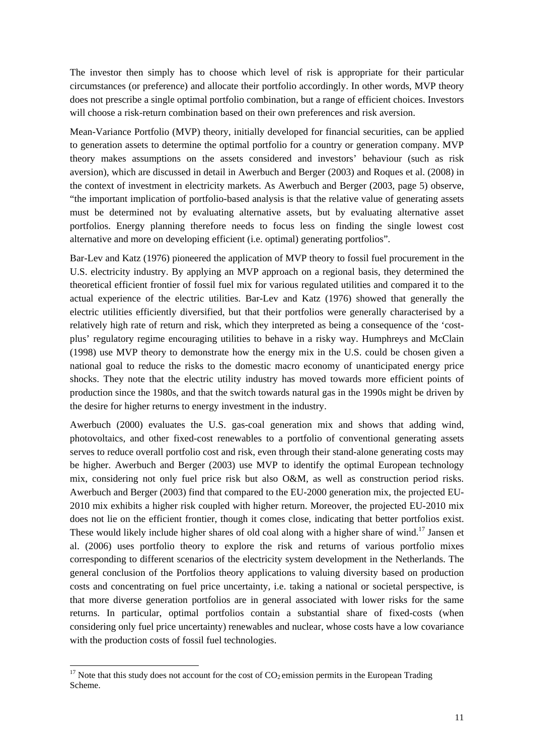The investor then simply has to choose which level of risk is appropriate for their particular circumstances (or preference) and allocate their portfolio accordingly. In other words, MVP theory does not prescribe a single optimal portfolio combination, but a range of efficient choices. Investors will choose a risk-return combination based on their own preferences and risk aversion.

Mean-Variance Portfolio (MVP) theory, initially developed for financial securities, can be applied to generation assets to determine the optimal portfolio for a country or generation company. MVP theory makes assumptions on the assets considered and investors' behaviour (such as risk aversion), which are discussed in detail in Awerbuch and Berger (2003) and Roques et al. (2008) in the context of investment in electricity markets. As Awerbuch and Berger (2003, page 5) observe, "the important implication of portfolio-based analysis is that the relative value of generating assets must be determined not by evaluating alternative assets, but by evaluating alternative asset portfolios. Energy planning therefore needs to focus less on finding the single lowest cost alternative and more on developing efficient (i.e. optimal) generating portfolios".

Bar-Lev and Katz (1976) pioneered the application of MVP theory to fossil fuel procurement in the U.S. electricity industry. By applying an MVP approach on a regional basis, they determined the theoretical efficient frontier of fossil fuel mix for various regulated utilities and compared it to the actual experience of the electric utilities. Bar-Lev and Katz (1976) showed that generally the electric utilities efficiently diversified, but that their portfolios were generally characterised by a relatively high rate of return and risk, which they interpreted as being a consequence of the 'costplus' regulatory regime encouraging utilities to behave in a risky way. Humphreys and McClain (1998) use MVP theory to demonstrate how the energy mix in the U.S. could be chosen given a national goal to reduce the risks to the domestic macro economy of unanticipated energy price shocks. They note that the electric utility industry has moved towards more efficient points of production since the 1980s, and that the switch towards natural gas in the 1990s might be driven by the desire for higher returns to energy investment in the industry.

Awerbuch (2000) evaluates the U.S. gas-coal generation mix and shows that adding wind, photovoltaics, and other fixed-cost renewables to a portfolio of conventional generating assets serves to reduce overall portfolio cost and risk, even through their stand-alone generating costs may be higher. Awerbuch and Berger (2003) use MVP to identify the optimal European technology mix, considering not only fuel price risk but also O&M, as well as construction period risks. Awerbuch and Berger (2003) find that compared to the EU-2000 generation mix, the projected EU-2010 mix exhibits a higher risk coupled with higher return. Moreover, the projected EU-2010 mix does not lie on the efficient frontier, though it comes close, indicating that better portfolios exist. These would likely include higher shares of old coal along with a higher share of wind.<sup>17</sup> Jansen et al. (2006) uses portfolio theory to explore the risk and returns of various portfolio mixes corresponding to different scenarios of the electricity system development in the Netherlands. The general conclusion of the Portfolios theory applications to valuing diversity based on production costs and concentrating on fuel price uncertainty, i.e. taking a national or societal perspective, is that more diverse generation portfolios are in general associated with lower risks for the same returns. In particular, optimal portfolios contain a substantial share of fixed-costs (when considering only fuel price uncertainty) renewables and nuclear, whose costs have a low covariance with the production costs of fossil fuel technologies.

<sup>&</sup>lt;sup>17</sup> Note that this study does not account for the cost of  $CO<sub>2</sub>$  emission permits in the European Trading Scheme.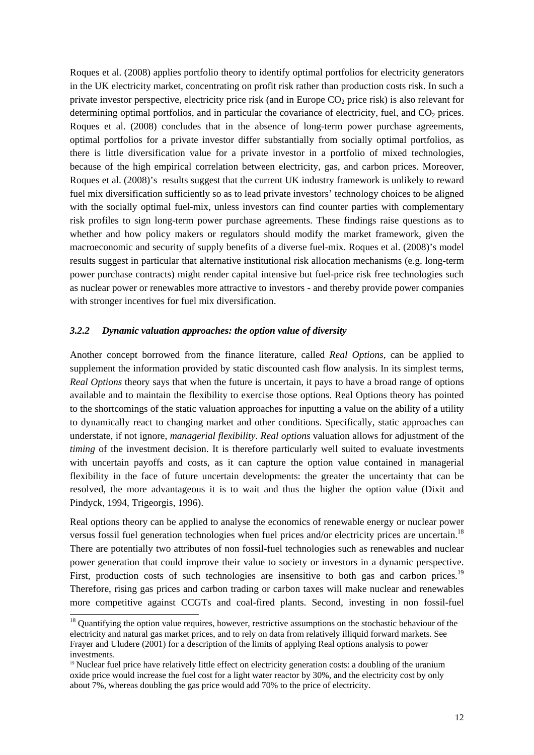Roques et al. (2008) applies portfolio theory to identify optimal portfolios for electricity generators in the UK electricity market, concentrating on profit risk rather than production costs risk. In such a private investor perspective, electricity price risk (and in Europe  $CO<sub>2</sub>$  price risk) is also relevant for determining optimal portfolios, and in particular the covariance of electricity, fuel, and  $CO<sub>2</sub>$  prices. Roques et al. (2008) concludes that in the absence of long-term power purchase agreements, optimal portfolios for a private investor differ substantially from socially optimal portfolios, as there is little diversification value for a private investor in a portfolio of mixed technologies, because of the high empirical correlation between electricity, gas, and carbon prices. Moreover, Roques et al. (2008)'s results suggest that the current UK industry framework is unlikely to reward fuel mix diversification sufficiently so as to lead private investors' technology choices to be aligned with the socially optimal fuel-mix, unless investors can find counter parties with complementary risk profiles to sign long-term power purchase agreements. These findings raise questions as to whether and how policy makers or regulators should modify the market framework, given the macroeconomic and security of supply benefits of a diverse fuel-mix. Roques et al. (2008)'s model results suggest in particular that alternative institutional risk allocation mechanisms (e.g. long-term power purchase contracts) might render capital intensive but fuel-price risk free technologies such as nuclear power or renewables more attractive to investors - and thereby provide power companies with stronger incentives for fuel mix diversification.

## *3.2.2 Dynamic valuation approaches: the option value of diversity*

-

Another concept borrowed from the finance literature, called *Real Options*, can be applied to supplement the information provided by static discounted cash flow analysis. In its simplest terms, *Real Options* theory says that when the future is uncertain, it pays to have a broad range of options available and to maintain the flexibility to exercise those options. Real Options theory has pointed to the shortcomings of the static valuation approaches for inputting a value on the ability of a utility to dynamically react to changing market and other conditions. Specifically, static approaches can understate, if not ignore, *managerial flexibility*. *Real options* valuation allows for adjustment of the *timing* of the investment decision. It is therefore particularly well suited to evaluate investments with uncertain payoffs and costs, as it can capture the option value contained in managerial flexibility in the face of future uncertain developments: the greater the uncertainty that can be resolved, the more advantageous it is to wait and thus the higher the option value (Dixit and Pindyck, 1994, Trigeorgis, 1996).

Real options theory can be applied to analyse the economics of renewable energy or nuclear power versus fossil fuel generation technologies when fuel prices and/or electricity prices are uncertain.18 There are potentially two attributes of non fossil-fuel technologies such as renewables and nuclear power generation that could improve their value to society or investors in a dynamic perspective. First, production costs of such technologies are insensitive to both gas and carbon prices.<sup>19</sup> Therefore, rising gas prices and carbon trading or carbon taxes will make nuclear and renewables more competitive against CCGTs and coal-fired plants. Second, investing in non fossil-fuel

<sup>&</sup>lt;sup>18</sup> Quantifying the option value requires, however, restrictive assumptions on the stochastic behaviour of the electricity and natural gas market prices, and to rely on data from relatively illiquid forward markets. See Frayer and Uludere (2001) for a description of the limits of applying Real options analysis to power investments.

<sup>19</sup> Nuclear fuel price have relatively little effect on electricity generation costs: a doubling of the uranium oxide price would increase the fuel cost for a light water reactor by 30%, and the electricity cost by only about 7%, whereas doubling the gas price would add 70% to the price of electricity.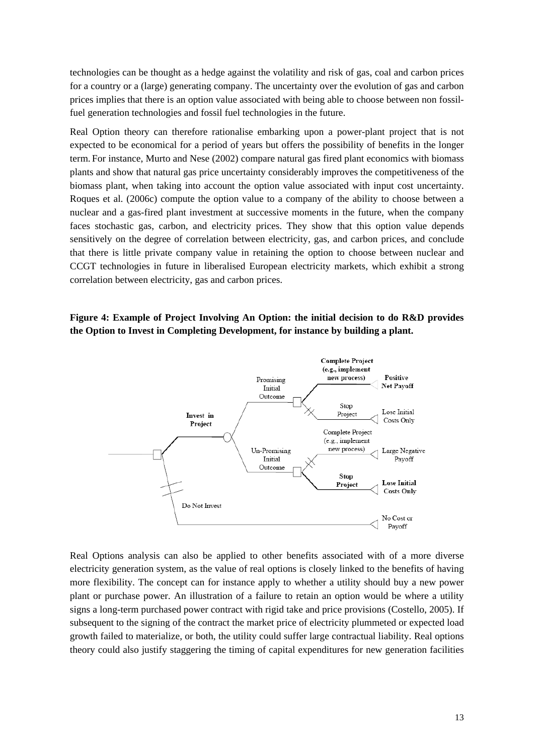technologies can be thought as a hedge against the volatility and risk of gas, coal and carbon prices for a country or a (large) generating company. The uncertainty over the evolution of gas and carbon prices implies that there is an option value associated with being able to choose between non fossilfuel generation technologies and fossil fuel technologies in the future.

Real Option theory can therefore rationalise embarking upon a power-plant project that is not expected to be economical for a period of years but offers the possibility of benefits in the longer term. For instance, Murto and Nese (2002) compare natural gas fired plant economics with biomass plants and show that natural gas price uncertainty considerably improves the competitiveness of the biomass plant, when taking into account the option value associated with input cost uncertainty. Roques et al. (2006c) compute the option value to a company of the ability to choose between a nuclear and a gas-fired plant investment at successive moments in the future, when the company faces stochastic gas, carbon, and electricity prices. They show that this option value depends sensitively on the degree of correlation between electricity, gas, and carbon prices, and conclude that there is little private company value in retaining the option to choose between nuclear and CCGT technologies in future in liberalised European electricity markets, which exhibit a strong correlation between electricity, gas and carbon prices.

# **Figure 4: Example of Project Involving An Option: the initial decision to do R&D provides the Option to Invest in Completing Development, for instance by building a plant.**



Real Options analysis can also be applied to other benefits associated with of a more diverse electricity generation system, as the value of real options is closely linked to the benefits of having more flexibility. The concept can for instance apply to whether a utility should buy a new power plant or purchase power. An illustration of a failure to retain an option would be where a utility signs a long-term purchased power contract with rigid take and price provisions (Costello, 2005). If subsequent to the signing of the contract the market price of electricity plummeted or expected load growth failed to materialize, or both, the utility could suffer large contractual liability. Real options theory could also justify staggering the timing of capital expenditures for new generation facilities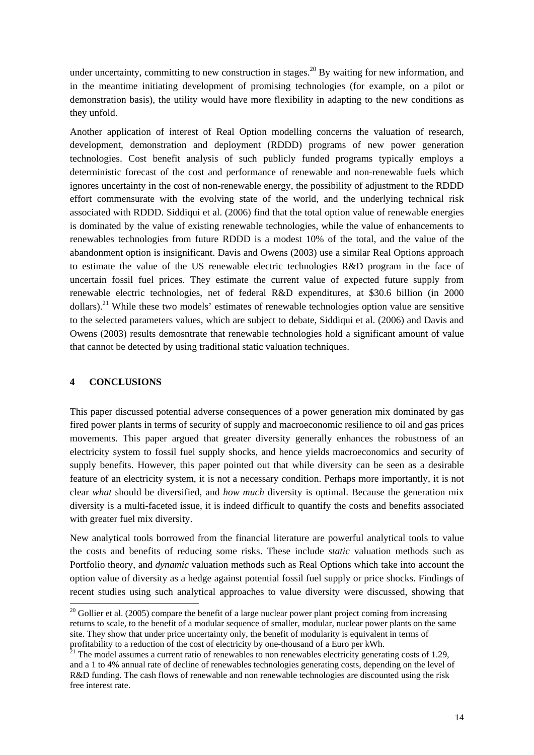under uncertainty, committing to new construction in stages.<sup>20</sup> By waiting for new information, and in the meantime initiating development of promising technologies (for example, on a pilot or demonstration basis), the utility would have more flexibility in adapting to the new conditions as they unfold.

Another application of interest of Real Option modelling concerns the valuation of research, development, demonstration and deployment (RDDD) programs of new power generation technologies. Cost benefit analysis of such publicly funded programs typically employs a deterministic forecast of the cost and performance of renewable and non-renewable fuels which ignores uncertainty in the cost of non-renewable energy, the possibility of adjustment to the RDDD effort commensurate with the evolving state of the world, and the underlying technical risk associated with RDDD. Siddiqui et al. (2006) find that the total option value of renewable energies is dominated by the value of existing renewable technologies, while the value of enhancements to renewables technologies from future RDDD is a modest 10% of the total, and the value of the abandonment option is insignificant. Davis and Owens (2003) use a similar Real Options approach to estimate the value of the US renewable electric technologies R&D program in the face of uncertain fossil fuel prices. They estimate the current value of expected future supply from renewable electric technologies, net of federal R&D expenditures, at \$30.6 billion (in 2000 dollars).<sup>21</sup> While these two models' estimates of renewable technologies option value are sensitive to the selected parameters values, which are subject to debate, Siddiqui et al. (2006) and Davis and Owens (2003) results demosntrate that renewable technologies hold a significant amount of value that cannot be detected by using traditional static valuation techniques.

## **4 CONCLUSIONS**

-

This paper discussed potential adverse consequences of a power generation mix dominated by gas fired power plants in terms of security of supply and macroeconomic resilience to oil and gas prices movements. This paper argued that greater diversity generally enhances the robustness of an electricity system to fossil fuel supply shocks, and hence yields macroeconomics and security of supply benefits. However, this paper pointed out that while diversity can be seen as a desirable feature of an electricity system, it is not a necessary condition. Perhaps more importantly, it is not clear *what* should be diversified, and *how much* diversity is optimal. Because the generation mix diversity is a multi-faceted issue, it is indeed difficult to quantify the costs and benefits associated with greater fuel mix diversity.

New analytical tools borrowed from the financial literature are powerful analytical tools to value the costs and benefits of reducing some risks. These include *static* valuation methods such as Portfolio theory, and *dynamic* valuation methods such as Real Options which take into account the option value of diversity as a hedge against potential fossil fuel supply or price shocks. Findings of recent studies using such analytical approaches to value diversity were discussed, showing that

 $20$  Gollier et al. (2005) compare the benefit of a large nuclear power plant project coming from increasing returns to scale, to the benefit of a modular sequence of smaller, modular, nuclear power plants on the same site. They show that under price uncertainty only, the benefit of modularity is equivalent in terms of profitability to a reduction of the cost of electricity by one-thousand of a Euro per kWh.

 $21$  The model assumes a current ratio of renewables to non renewables electricity generating costs of 1.29, and a 1 to 4% annual rate of decline of renewables technologies generating costs, depending on the level of R&D funding. The cash flows of renewable and non renewable technologies are discounted using the risk free interest rate.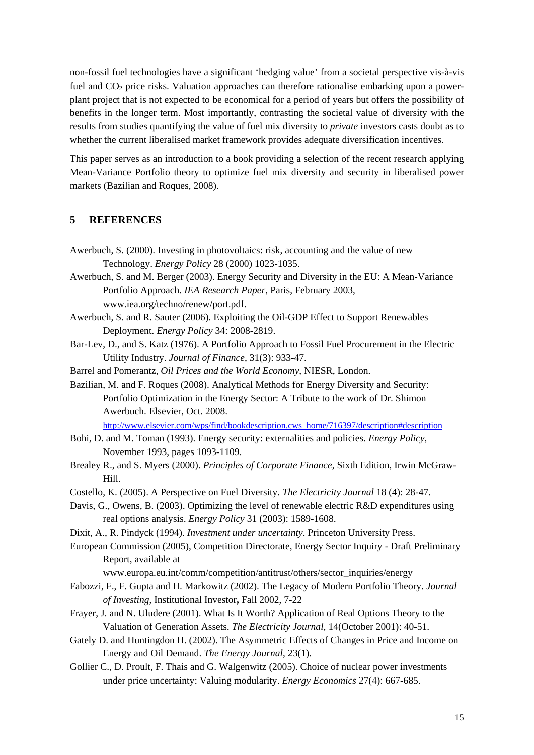non-fossil fuel technologies have a significant 'hedging value' from a societal perspective vis-à-vis fuel and  $CO<sub>2</sub>$  price risks. Valuation approaches can therefore rationalise embarking upon a powerplant project that is not expected to be economical for a period of years but offers the possibility of benefits in the longer term. Most importantly, contrasting the societal value of diversity with the results from studies quantifying the value of fuel mix diversity to *private* investors casts doubt as to whether the current liberalised market framework provides adequate diversification incentives.

This paper serves as an introduction to a book providing a selection of the recent research applying Mean-Variance Portfolio theory to optimize fuel mix diversity and security in liberalised power markets (Bazilian and Roques, 2008).

## **5 REFERENCES**

- Awerbuch, S. (2000). Investing in photovoltaics: risk, accounting and the value of new Technology. *Energy Policy* 28 (2000) 1023-1035.
- Awerbuch, S. and M. Berger (2003). Energy Security and Diversity in the EU: A Mean-Variance Portfolio Approach. *IEA Research Paper*, Paris, February 2003, www.iea.org/techno/renew/port.pdf.
- Awerbuch, S. and R. Sauter (2006). Exploiting the Oil-GDP Effect to Support Renewables Deployment. *Energy Policy* 34: 2008-2819.
- Bar-Lev, D., and S. Katz (1976). A Portfolio Approach to Fossil Fuel Procurement in the Electric Utility Industry. *Journal of Finance*, 31(3): 933-47.
- Barrel and Pomerantz, *Oil Prices and the World Economy*, NIESR, London.
- Bazilian, M. and F. Roques (2008). Analytical Methods for Energy Diversity and Security: Portfolio Optimization in the Energy Sector: A Tribute to the work of Dr. Shimon Awerbuch. Elsevier, Oct. 2008.
	- http://www.elsevier.com/wps/find/bookdescription.cws\_home/716397/description#description
- Bohi, D. and M. Toman (1993). Energy security: externalities and policies. *Energy Policy*, November 1993, pages 1093-1109.
- Brealey R., and S. Myers (2000). *Principles of Corporate Finance*, Sixth Edition, Irwin McGraw-Hill.
- Costello, K. (2005). A Perspective on Fuel Diversity. *The Electricity Journal* 18 (4): 28-47.
- Davis, G., Owens, B. (2003). Optimizing the level of renewable electric R&D expenditures using real options analysis. *Energy Policy* 31 (2003): 1589-1608.
- Dixit, A., R. Pindyck (1994). *Investment under uncertainty*. Princeton University Press.
- European Commission (2005), Competition Directorate, Energy Sector Inquiry Draft Preliminary Report, available at

www.europa.eu.int/comm/competition/antitrust/others/sector\_inquiries/energy

- Fabozzi, F., F. Gupta and H. Markowitz (2002). The Legacy of Modern Portfolio Theory. *Journal of Investing*, Institutional Investor**,** Fall 2002, 7-22
- Frayer, J. and N. Uludere (2001). What Is It Worth? Application of Real Options Theory to the Valuation of Generation Assets. *The Electricity Journal*, 14(October 2001): 40-51.
- Gately D. and Huntingdon H. (2002). The Asymmetric Effects of Changes in Price and Income on Energy and Oil Demand. *The Energy Journal*, 23(1).
- Gollier C., D. Proult, F. Thais and G. Walgenwitz (2005). Choice of nuclear power investments under price uncertainty: Valuing modularity. *Energy Economics* 27(4): 667-685.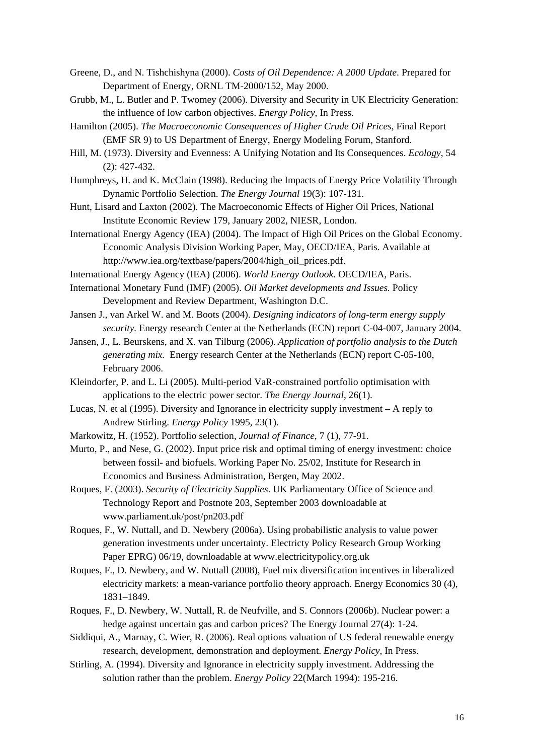- Greene, D., and N. Tishchishyna (2000). *Costs of Oil Dependence: A 2000 Update*. Prepared for Department of Energy, ORNL TM-2000/152, May 2000.
- Grubb, M., L. Butler and P. Twomey (2006). Diversity and Security in UK Electricity Generation: the influence of low carbon objectives. *Energy Policy*, In Press.
- Hamilton (2005). *The Macroeconomic Consequences of Higher Crude Oil Prices*, Final Report (EMF SR 9) to US Department of Energy, Energy Modeling Forum, Stanford.
- Hill, M. (1973). Diversity and Evenness: A Unifying Notation and Its Consequences. *Ecology*, 54 (2): 427-432.
- Humphreys, H. and K. McClain (1998). Reducing the Impacts of Energy Price Volatility Through Dynamic Portfolio Selection. *The Energy Journal* 19(3): 107-131.
- Hunt, Lisard and Laxton (2002). The Macroeconomic Effects of Higher Oil Prices*,* National Institute Economic Review 179, January 2002, NIESR, London.
- International Energy Agency (IEA) (2004). The Impact of High Oil Prices on the Global Economy. Economic Analysis Division Working Paper, May, OECD/IEA, Paris. Available at http://www.iea.org/textbase/papers/2004/high\_oil\_prices.pdf.
- International Energy Agency (IEA) (2006). *World Energy Outlook.* OECD/IEA, Paris.
- International Monetary Fund (IMF) (2005). *Oil Market developments and Issues.* Policy Development and Review Department, Washington D.C.
- Jansen J., van Arkel W. and M. Boots (2004). *Designing indicators of long-term energy supply security.* Energy research Center at the Netherlands (ECN) report C-04-007, January 2004.
- Jansen, J., L. Beurskens, and X. van Tilburg (2006). *Application of portfolio analysis to the Dutch generating mix.* Energy research Center at the Netherlands (ECN) report C-05-100, February 2006.
- Kleindorfer, P. and L. Li (2005). Multi-period VaR-constrained portfolio optimisation with applications to the electric power sector. *The Energy Journal*, 26(1).
- Lucas, N. et al (1995). Diversity and Ignorance in electricity supply investment A reply to Andrew Stirling. *Energy Policy* 1995, 23(1).
- Markowitz, H. (1952). Portfolio selection, *Journal of Finance*, 7 (1), 77-91.
- Murto, P., and Nese, G. (2002). Input price risk and optimal timing of energy investment: choice between fossil- and biofuels. Working Paper No. 25/02, Institute for Research in Economics and Business Administration, Bergen, May 2002.
- Roques, F. (2003). *Security of Electricity Supplies*. UK Parliamentary Office of Science and Technology Report and Postnote 203, September 2003 downloadable at www.parliament.uk/post/pn203.pdf
- Roques, F., W. Nuttall, and D. Newbery (2006a). Using probabilistic analysis to value power generation investments under uncertainty. Electricty Policy Research Group Working Paper EPRG) 06/19, downloadable at www.electricitypolicy.org.uk
- Roques, F., D. Newbery, and W. Nuttall (2008), Fuel mix diversification incentives in liberalized electricity markets: a mean-variance portfolio theory approach. Energy Economics 30 (4), 1831–1849.
- Roques, F., D. Newbery, W. Nuttall, R. de Neufville, and S. Connors (2006b). Nuclear power: a hedge against uncertain gas and carbon prices? The Energy Journal 27(4): 1-24.
- Siddiqui, A., Marnay, C. Wier, R. (2006). Real options valuation of US federal renewable energy research, development, demonstration and deployment. *Energy Policy*, In Press.
- Stirling, A. (1994). Diversity and Ignorance in electricity supply investment. Addressing the solution rather than the problem. *Energy Policy* 22(March 1994): 195-216.